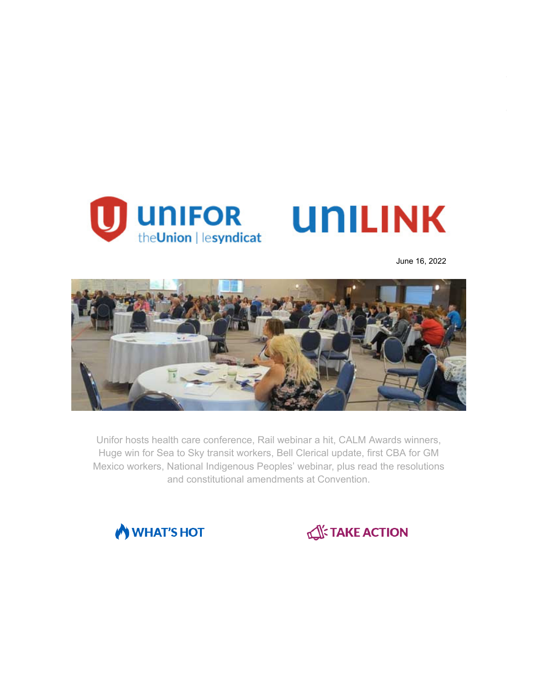

June 16, 2022



Unifor hosts health care conference, Rail webinar a hit, CALM Awards winners, Huge win for Sea to Sky transit workers, Bell Clerical update, first CBA for GM Mexico workers, National Indigenous Peoples' webinar, plus read the resolutions and constitutional amendments at Convention.



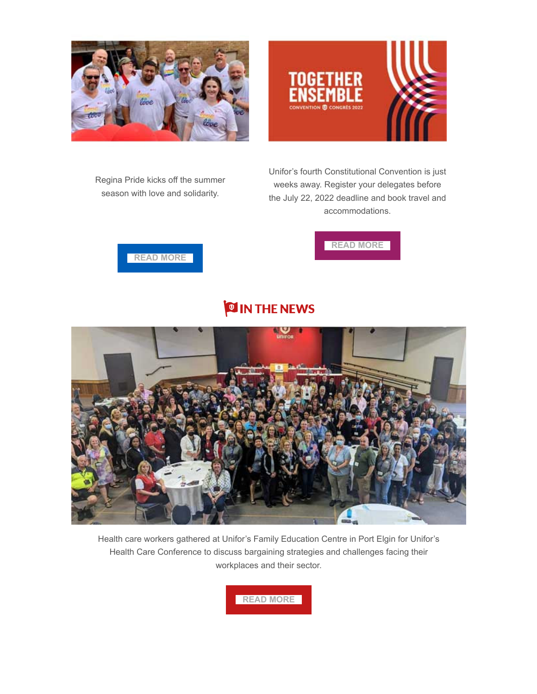



Regina Pride kicks off the summer season with love and solidarity.

Unifor's fourth Constitutional Convention is just weeks away. Register your delegates before the July 22, 2022 deadline and book travel and accommodations.

**[READ MORE](https://www.unifor.org/news/all-news/register-now-unifors-fourth-constitutional-convention)**



# **OIN THE NEWS**



Health care workers gathered at Unifor's Family Education Centre in Port Elgin for Unifor's Health Care Conference to discuss bargaining strategies and challenges facing their workplaces and their sector.

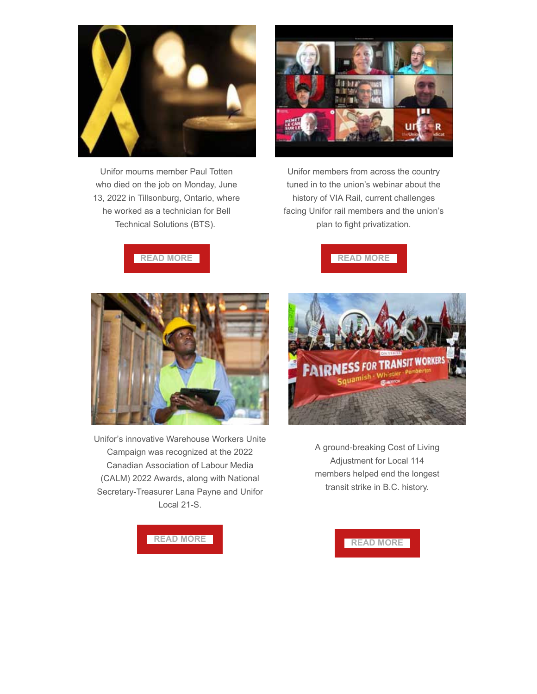

Unifor mourns member Paul Totten who died on the job on Monday, June 13, 2022 in Tillsonburg, Ontario, where he worked as a technician for Bell Technical Solutions (BTS).

**[READ MORE](https://www.unifor.org/news/all-news/unifor-mourns-loss-local-45-member-who-died-job)**



Unifor members from across the country tuned in to the union's webinar about the history of VIA Rail, current challenges facing Unifor rail members and the union's plan to fight privatization.



Unifor's innovative Warehouse Workers Unite Campaign was recognized at the 2022 Canadian Association of Labour Media (CALM) 2022 Awards, along with National Secretary-Treasurer Lana Payne and Unifor Local 21-S.



A ground-breaking Cost of Living Adjustment for Local 114 members helped end the longest transit strike in B.C. history.





**[READ MORE](https://www.unifor.org/news/all-news/unifor-hosts-get-canada-back-track-webinar-supporting-rail-0)**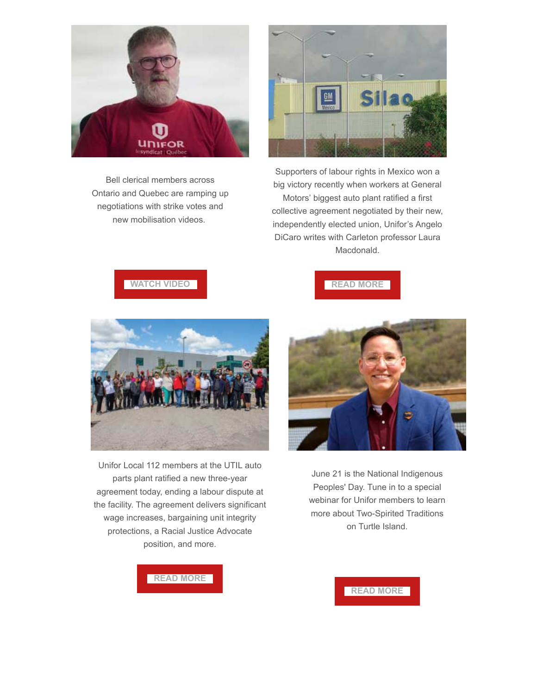

Bell clerical members across Ontario and Quebec are ramping up negotiations with strike votes and new mobilisation videos.



Supporters of labour rights in Mexico won a big victory recently when workers at General Motors' biggest auto plant ratified a first collective agreement negotiated by their new, independently elected union, Unifor's Angelo DiCaro writes with Carleton professor Laura Macdonald.

**[READ MORE](https://www.unifor.org/news/all-news/union-win-mexican-auto-plant-brings-new-hope-labour-rights)**





Unifor Local 112 members at the UTIL auto parts plant ratified a new three-year agreement today, ending a labour dispute at the facility. The agreement delivers significant wage increases, bargaining unit integrity protections, a Racial Justice Advocate position, and more.



June 21 is the National Indigenous Peoples' Day. Tune in to a special webinar for Unifor members to learn more about Two-Spirited Traditions on Turtle Island.

**[READ MORE](https://www.unifor.org/news/all-news/auto-parts-workers-util-ratify-agreement-ending-labour-dispute)**